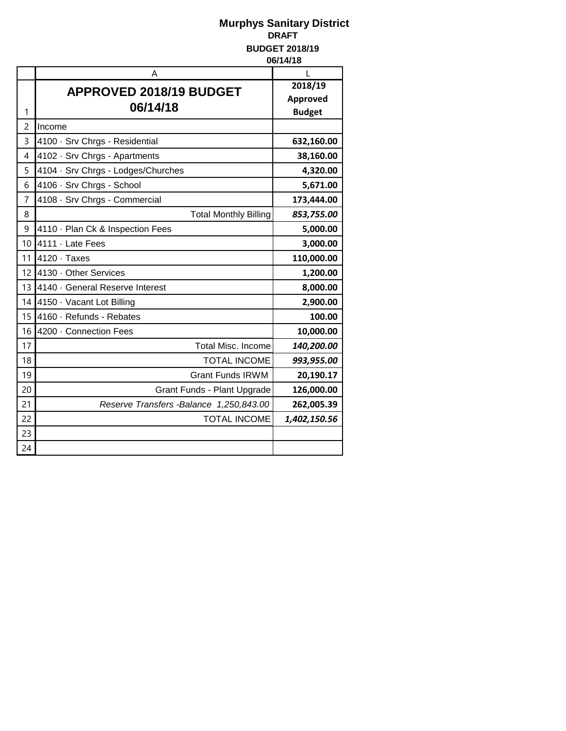|    | Α                                        | L             |
|----|------------------------------------------|---------------|
|    | <b>APPROVED 2018/19 BUDGET</b>           | 2018/19       |
|    | 06/14/18                                 | Approved      |
| 1  |                                          | <b>Budget</b> |
| 2  | Income                                   |               |
| 3  | 4100 · Srv Chrgs - Residential           | 632,160.00    |
| 4  | 4102 · Srv Chrgs - Apartments            | 38,160.00     |
| 5  | 4104 · Srv Chrgs - Lodges/Churches       | 4,320.00      |
| 6  | 4106 · Srv Chrgs - School                | 5,671.00      |
| 7  | 4108 · Srv Chrgs - Commercial            | 173,444.00    |
| 8  | <b>Total Monthly Billing</b>             | 853,755.00    |
| 9  | 4110 · Plan Ck & Inspection Fees         | 5,000.00      |
| 10 | 4111 · Late Fees                         | 3,000.00      |
| 11 | $4120 \cdot$ Taxes                       | 110,000.00    |
| 12 | 4130 Other Services                      | 1,200.00      |
| 13 | 4140 General Reserve Interest            | 8,000.00      |
| 14 | 4150 · Vacant Lot Billing                | 2,900.00      |
| 15 | 4160 · Refunds - Rebates                 | 100.00        |
| 16 | 4200 Connection Fees                     | 10,000.00     |
| 17 | <b>Total Misc. Income</b>                | 140,200.00    |
| 18 | <b>TOTAL INCOME</b>                      | 993,955.00    |
| 19 | <b>Grant Funds IRWM</b>                  | 20,190.17     |
| 20 | Grant Funds - Plant Upgrade              | 126,000.00    |
| 21 | Reserve Transfers - Balance 1,250,843.00 | 262,005.39    |
| 22 | <b>TOTAL INCOME</b>                      | 1,402,150.56  |
| 23 |                                          |               |
| 24 |                                          |               |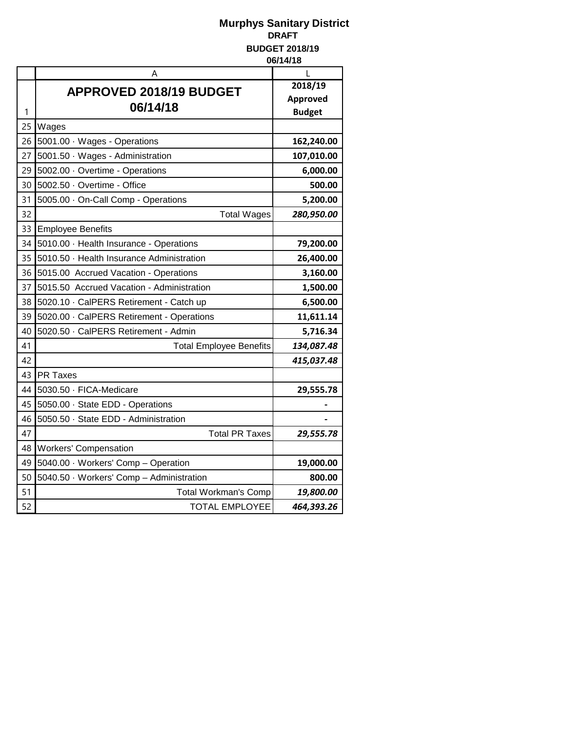|    | Α                                         | L               |
|----|-------------------------------------------|-----------------|
|    | APPROVED 2018/19 BUDGET                   | 2018/19         |
|    | 06/14/18                                  | <b>Approved</b> |
| 1  |                                           | <b>Budget</b>   |
| 25 | Wages                                     |                 |
| 26 | 5001.00 · Wages - Operations              | 162,240.00      |
| 27 | 5001.50 Wages - Administration            | 107,010.00      |
| 29 | 5002.00 Overtime - Operations             | 6,000.00        |
| 30 | 5002.50 · Overtime - Office               | 500.00          |
| 31 | 5005.00 · On-Call Comp - Operations       | 5,200.00        |
| 32 | <b>Total Wages</b>                        | 280,950.00      |
| 33 | <b>Employee Benefits</b>                  |                 |
| 34 | 5010.00 · Health Insurance - Operations   | 79,200.00       |
| 35 | 5010.50 · Health Insurance Administration | 26,400.00       |
| 36 | 5015.00 Accrued Vacation - Operations     | 3,160.00        |
| 37 | 5015.50 Accrued Vacation - Administration | 1,500.00        |
| 38 | 5020.10 · CalPERS Retirement - Catch up   | 6,500.00        |
| 39 | 5020.00 · CalPERS Retirement - Operations | 11,611.14       |
| 40 | 5020.50 · CalPERS Retirement - Admin      | 5,716.34        |
| 41 | <b>Total Employee Benefits</b>            | 134,087.48      |
| 42 |                                           | 415,037.48      |
| 43 | <b>PR Taxes</b>                           |                 |
| 44 | 5030.50 · FICA-Medicare                   | 29,555.78       |
| 45 | 5050.00 · State EDD - Operations          |                 |
| 46 | 5050.50 · State EDD - Administration      |                 |
| 47 | <b>Total PR Taxes</b>                     | 29,555.78       |
| 48 | <b>Workers' Compensation</b>              |                 |
| 49 | 5040.00 Workers' Comp - Operation         | 19,000.00       |
| 50 | 5040.50 · Workers' Comp - Administration  | 800.00          |
| 51 | Total Workman's Comp                      | 19,800.00       |
| 52 | <b>TOTAL EMPLOYEE</b>                     | 464,393.26      |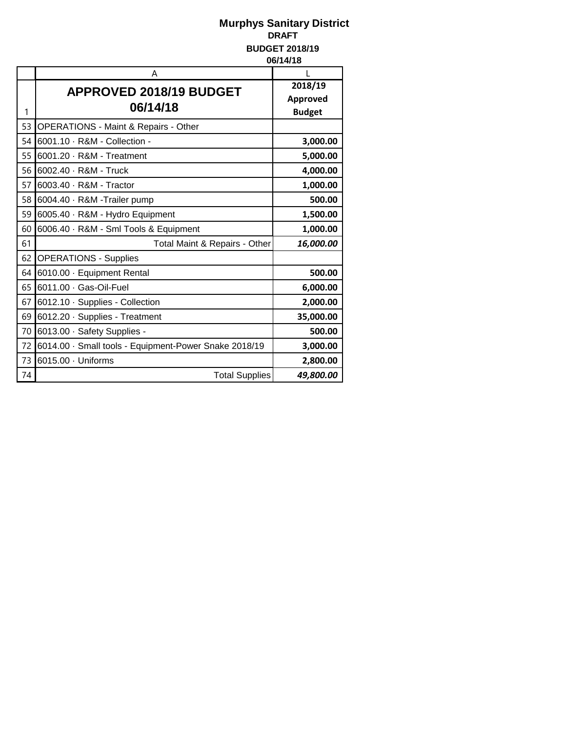|    | Α                                                     | L                                    |
|----|-------------------------------------------------------|--------------------------------------|
| 1  | <b>APPROVED 2018/19 BUDGET</b><br>06/14/18            | 2018/19<br>Approved<br><b>Budget</b> |
| 53 | <b>OPERATIONS - Maint &amp; Repairs - Other</b>       |                                      |
| 54 | 6001.10 · R&M - Collection -                          | 3,000.00                             |
| 55 | 6001.20 · R&M - Treatment                             | 5,000.00                             |
| 56 | 6002.40 · R&M - Truck                                 | 4,000.00                             |
| 57 | 6003.40 · R&M - Tractor                               | 1,000.00                             |
| 58 | 6004.40 · R&M -Trailer pump                           | 500.00                               |
| 59 | 6005.40 · R&M - Hydro Equipment                       | 1,500.00                             |
| 60 | 6006.40 · R&M - Sml Tools & Equipment                 | 1,000.00                             |
| 61 | Total Maint & Repairs - Other                         | 16,000.00                            |
| 62 | <b>OPERATIONS - Supplies</b>                          |                                      |
| 64 | 6010.00 · Equipment Rental                            | 500.00                               |
| 65 | 6011.00 · Gas-Oil-Fuel                                | 6,000.00                             |
| 67 | 6012.10 · Supplies - Collection                       | 2,000.00                             |
| 69 | 6012.20 · Supplies - Treatment                        | 35,000.00                            |
| 70 | 6013.00 · Safety Supplies -                           | 500.00                               |
| 72 | 6014.00 · Small tools - Equipment-Power Snake 2018/19 | 3,000.00                             |
| 73 | 6015.00 · Uniforms                                    | 2,800.00                             |
| 74 | <b>Total Supplies</b>                                 | 49,800.00                            |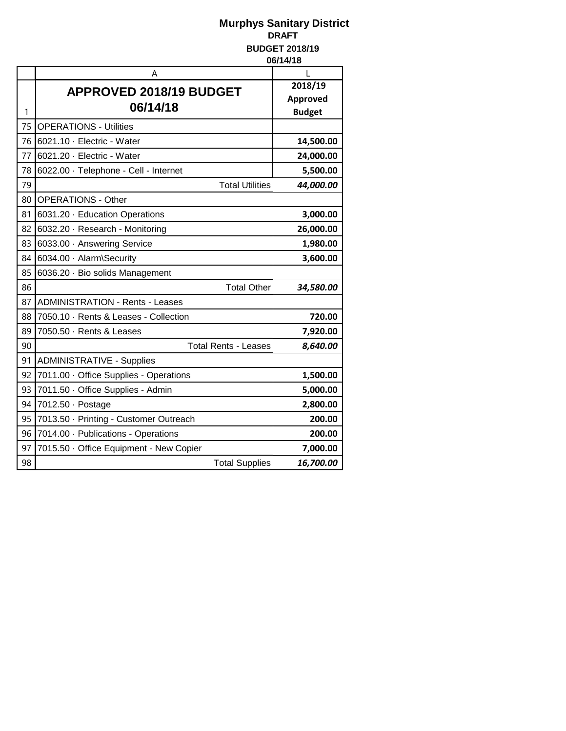|    | Α                                       | L             |
|----|-----------------------------------------|---------------|
|    | APPROVED 2018/19 BUDGET                 | 2018/19       |
|    | 06/14/18                                | Approved      |
| 1  |                                         | <b>Budget</b> |
| 75 | <b>OPERATIONS - Utilities</b>           |               |
| 76 | 6021.10 · Electric - Water              | 14,500.00     |
| 77 | 6021.20 · Electric - Water              | 24,000.00     |
| 78 | 6022.00 · Telephone - Cell - Internet   | 5,500.00      |
| 79 | <b>Total Utilities</b>                  | 44,000.00     |
| 80 | <b>OPERATIONS - Other</b>               |               |
| 81 | 6031.20 · Education Operations          | 3,000.00      |
| 82 | 6032.20 · Research - Monitoring         | 26,000.00     |
| 83 | 6033.00 Answering Service               | 1,980.00      |
| 84 | 6034.00 · Alarm\Security                | 3,600.00      |
| 85 | 6036.20 · Bio solids Management         |               |
| 86 | <b>Total Other</b>                      | 34,580.00     |
| 87 | <b>ADMINISTRATION - Rents - Leases</b>  |               |
| 88 | 7050.10 · Rents & Leases - Collection   | 720.00        |
| 89 | 7050.50 · Rents & Leases                | 7,920.00      |
| 90 | <b>Total Rents - Leases</b>             | 8,640.00      |
| 91 | <b>ADMINISTRATIVE - Supplies</b>        |               |
| 92 | 7011.00 · Office Supplies - Operations  | 1,500.00      |
| 93 | 7011.50 · Office Supplies - Admin       | 5,000.00      |
| 94 | 7012.50 · Postage                       | 2,800.00      |
| 95 | 7013.50 · Printing - Customer Outreach  | 200.00        |
| 96 | 7014.00 - Publications - Operations     | 200.00        |
| 97 | 7015.50 · Office Equipment - New Copier | 7,000.00      |
| 98 | <b>Total Supplies</b>                   | 16,700.00     |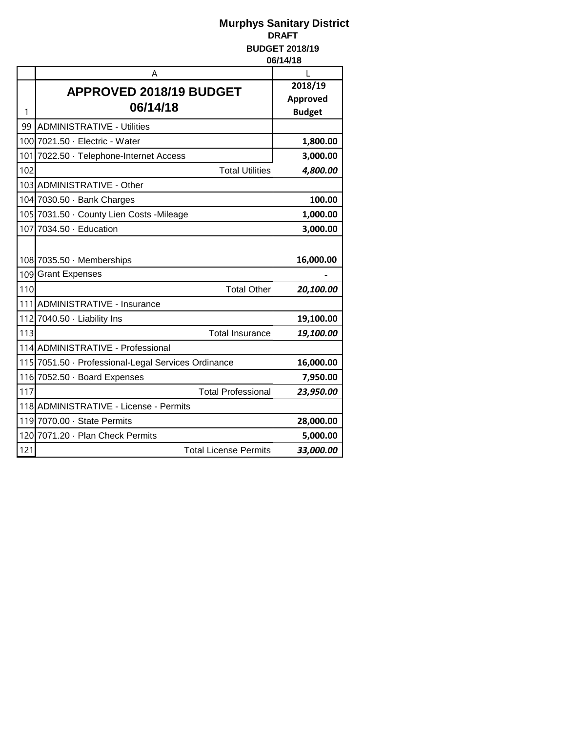|     | А                                                   | L               |
|-----|-----------------------------------------------------|-----------------|
|     | APPROVED 2018/19 BUDGET                             | 2018/19         |
|     | 06/14/18                                            | <b>Approved</b> |
| 1   |                                                     | <b>Budget</b>   |
| 99  | <b>ADMINISTRATIVE - Utilities</b>                   |                 |
|     | 100 7021.50 · Electric - Water                      | 1,800.00        |
|     | 101 7022.50 · Telephone-Internet Access             | 3,000.00        |
| 102 | <b>Total Utilities</b>                              | 4,800.00        |
|     | 103 ADMINISTRATIVE - Other                          |                 |
|     | 104 7030.50 · Bank Charges                          | 100.00          |
|     | 105 7031.50 County Lien Costs - Mileage             | 1,000.00        |
|     | 107 7034.50 · Education                             | 3,000.00        |
|     |                                                     |                 |
|     | 108 7035.50 Memberships                             | 16,000.00       |
|     | 109 Grant Expenses                                  |                 |
| 110 | <b>Total Other</b>                                  | 20,100.00       |
|     | 111 ADMINISTRATIVE - Insurance                      |                 |
|     | 112 7040.50 Liability Ins                           | 19,100.00       |
| 113 | <b>Total Insurance</b>                              | 19,100.00       |
|     | 114 ADMINISTRATIVE - Professional                   |                 |
|     | 115 7051.50 · Professional-Legal Services Ordinance | 16,000.00       |
|     | 116 7052.50 Board Expenses                          | 7,950.00        |
| 117 | <b>Total Professional</b>                           | 23,950.00       |
|     | 118 ADMINISTRATIVE - License - Permits              |                 |
|     | 119 7070.00 State Permits                           | 28,000.00       |
|     | 120 7071.20 - Plan Check Permits                    | 5,000.00        |
| 121 | <b>Total License Permits</b>                        | 33,000.00       |